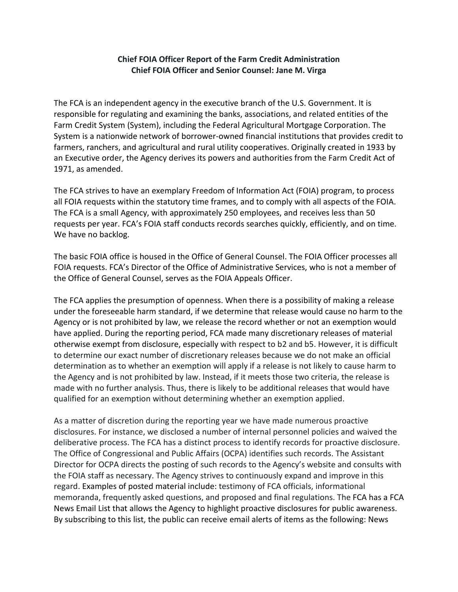## **Chief FOIA Officer Report of the Farm Credit Administration Chief FOIA Officer and Senior Counsel: Jane M. Virga**

The FCA is an independent agency in the executive branch of the U.S. Government. It is responsible for regulating and examining the banks, associations, and related entities of the Farm Credit System (System), including the Federal Agricultural Mortgage Corporation. The System is a nationwide network of borrower-owned financial institutions that provides credit to farmers, ranchers, and agricultural and rural utility cooperatives. Originally created in 1933 by an Executive order, the Agency derives its powers and authorities from the Farm Credit Act of 1971, as amended.

The FCA strives to have an exemplary Freedom of Information Act (FOIA) program, to process all FOIA requests within the statutory time frames, and to comply with all aspects of the FOIA. The FCA is a small Agency, with approximately 250 employees, and receives less than 50 requests per year. FCA's FOIA staff conducts records searches quickly, efficiently, and on time. We have no backlog.

The basic FOIA office is housed in the Office of General Counsel. The FOIA Officer processes all FOIA requests. FCA's Director of the Office of Administrative Services, who is not a member of the Office of General Counsel, serves as the FOIA Appeals Officer.

The FCA applies the presumption of openness. When there is a possibility of making a release under the foreseeable harm standard, if we determine that release would cause no harm to the Agency or is not prohibited by law, we release the record whether or not an exemption would have applied. During the reporting period, FCA made many discretionary releases of material otherwise exempt from disclosure, especially with respect to b2 and b5. However, it is difficult to determine our exact number of discretionary releases because we do not make an official determination as to whether an exemption will apply if a release is not likely to cause harm to the Agency and is not prohibited by law. Instead, if it meets those two criteria, the release is made with no further analysis. Thus, there is likely to be additional releases that would have qualified for an exemption without determining whether an exemption applied.

As a matter of discretion during the reporting year we have made numerous proactive disclosures. For instance, we disclosed a number of internal personnel policies and waived the deliberative process. The FCA has a distinct process to identify records for proactive disclosure. The Office of Congressional and Public Affairs (OCPA) identifies such records. The Assistant Director for OCPA directs the posting of such records to the Agency's website and consults with the FOIA staff as necessary. The Agency strives to continuously expand and improve in this regard. Examples of posted material include: testimony of FCA officials, informational memoranda, frequently asked questions, and proposed and final regulations. The FCA has a FCA News Email List that allows the Agency to highlight proactive disclosures for public awareness. By subscribing to this list, the public can receive email alerts of items as the following: News